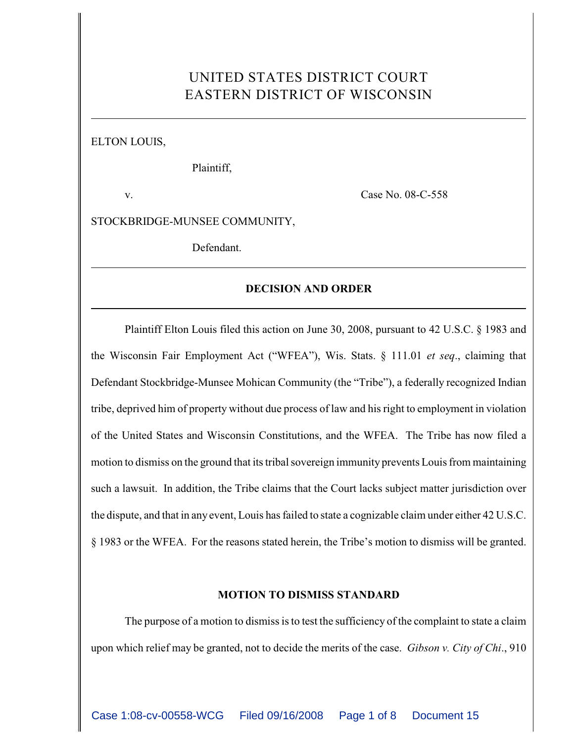# UNITED STATES DISTRICT COURT EASTERN DISTRICT OF WISCONSIN

ELTON LOUIS,

Plaintiff,

v. Case No. 08-C-558

STOCKBRIDGE-MUNSEE COMMUNITY,

Defendant.

## **DECISION AND ORDER**

Plaintiff Elton Louis filed this action on June 30, 2008, pursuant to 42 U.S.C. § 1983 and the Wisconsin Fair Employment Act ("WFEA"), Wis. Stats. § 111.01 *et seq*., claiming that Defendant Stockbridge-Munsee Mohican Community (the "Tribe"), a federally recognized Indian tribe, deprived him of property without due process of law and his right to employment in violation of the United States and Wisconsin Constitutions, and the WFEA. The Tribe has now filed a motion to dismiss on the ground that its tribal sovereign immunity prevents Louis from maintaining such a lawsuit. In addition, the Tribe claims that the Court lacks subject matter jurisdiction over the dispute, and that in any event, Louis has failed to state a cognizable claim under either 42 U.S.C. § 1983 or the WFEA. For the reasons stated herein, the Tribe's motion to dismiss will be granted.

### **MOTION TO DISMISS STANDARD**

The purpose of a motion to dismiss is to test the sufficiency of the complaint to state a claim upon which relief may be granted, not to decide the merits of the case. *Gibson v. City of Chi*., 910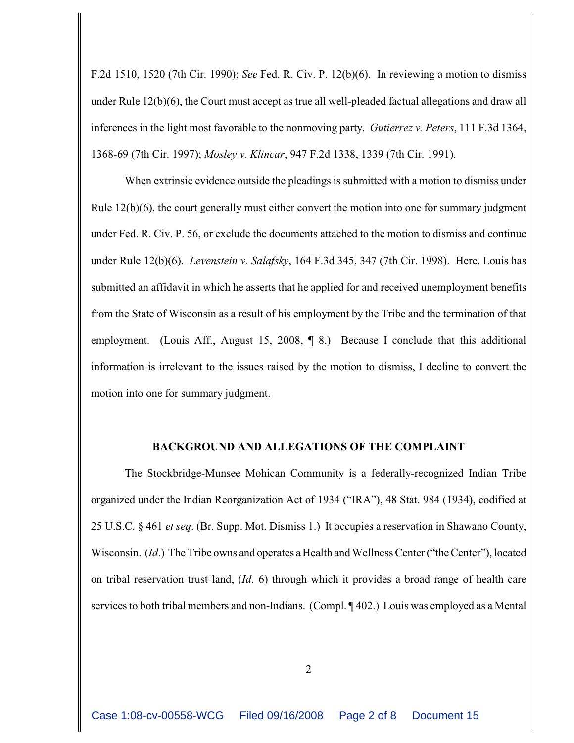F.2d 1510, 1520 (7th Cir. 1990); *See* Fed. R. Civ. P. 12(b)(6). In reviewing a motion to dismiss under Rule 12(b)(6), the Court must accept as true all well-pleaded factual allegations and draw all inferences in the light most favorable to the nonmoving party. *Gutierrez v. Peters*, 111 F.3d 1364, 1368-69 (7th Cir. 1997); *Mosley v. Klincar*, 947 F.2d 1338, 1339 (7th Cir. 1991).

When extrinsic evidence outside the pleadings is submitted with a motion to dismiss under Rule  $12(b)(6)$ , the court generally must either convert the motion into one for summary judgment under Fed. R. Civ. P. 56, or exclude the documents attached to the motion to dismiss and continue under Rule 12(b)(6). *Levenstein v. Salafsky*, 164 F.3d 345, 347 (7th Cir. 1998). Here, Louis has submitted an affidavit in which he asserts that he applied for and received unemployment benefits from the State of Wisconsin as a result of his employment by the Tribe and the termination of that employment. (Louis Aff., August 15, 2008, ¶ 8.) Because I conclude that this additional information is irrelevant to the issues raised by the motion to dismiss, I decline to convert the motion into one for summary judgment.

## **BACKGROUND AND ALLEGATIONS OF THE COMPLAINT**

The Stockbridge-Munsee Mohican Community is a federally-recognized Indian Tribe organized under the Indian Reorganization Act of 1934 ("IRA"), 48 Stat. 984 (1934), codified at 25 U.S.C. § 461 *et seq*. (Br. Supp. Mot. Dismiss 1.) It occupies a reservation in Shawano County, Wisconsin. (*Id*.) The Tribe owns and operates a Health and Wellness Center ("the Center"), located on tribal reservation trust land, (*Id*. 6) through which it provides a broad range of health care services to both tribal members and non-Indians. (Compl. ¶ 402.) Louis was employed as a Mental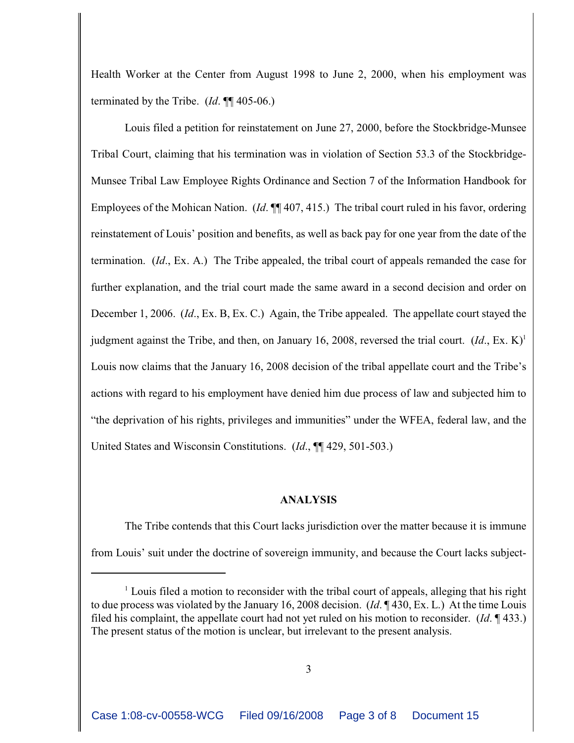Health Worker at the Center from August 1998 to June 2, 2000, when his employment was terminated by the Tribe. (*Id*. ¶¶ 405-06.)

Louis filed a petition for reinstatement on June 27, 2000, before the Stockbridge-Munsee Tribal Court, claiming that his termination was in violation of Section 53.3 of the Stockbridge-Munsee Tribal Law Employee Rights Ordinance and Section 7 of the Information Handbook for Employees of the Mohican Nation. (*Id*. ¶¶ 407, 415.) The tribal court ruled in his favor, ordering reinstatement of Louis' position and benefits, as well as back pay for one year from the date of the termination. (*Id*., Ex. A.) The Tribe appealed, the tribal court of appeals remanded the case for further explanation, and the trial court made the same award in a second decision and order on December 1, 2006. (*Id*., Ex. B, Ex. C.) Again, the Tribe appealed. The appellate court stayed the judgment against the Tribe, and then, on January 16, 2008, reversed the trial court.  $(Id, Ex, K)^{1}$ Louis now claims that the January 16, 2008 decision of the tribal appellate court and the Tribe's actions with regard to his employment have denied him due process of law and subjected him to "the deprivation of his rights, privileges and immunities" under the WFEA, federal law, and the United States and Wisconsin Constitutions. (*Id*., ¶¶ 429, 501-503.)

#### **ANALYSIS**

The Tribe contends that this Court lacks jurisdiction over the matter because it is immune from Louis' suit under the doctrine of sovereign immunity, and because the Court lacks subject-

 $\frac{1}{2}$  Louis filed a motion to reconsider with the tribal court of appeals, alleging that his right to due process was violated by the January 16, 2008 decision. (*Id*. ¶ 430, Ex. L.) At the time Louis filed his complaint, the appellate court had not yet ruled on his motion to reconsider. (*Id*. ¶ 433.) The present status of the motion is unclear, but irrelevant to the present analysis.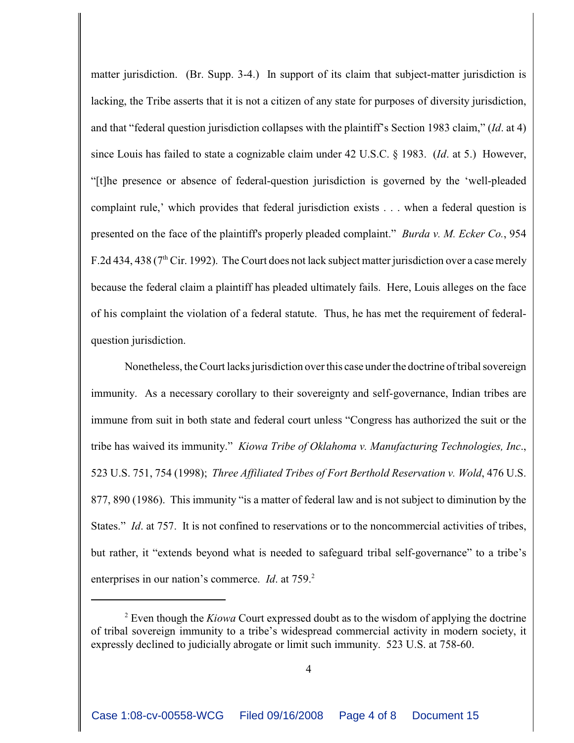matter jurisdiction. (Br. Supp. 3-4.) In support of its claim that subject-matter jurisdiction is lacking, the Tribe asserts that it is not a citizen of any state for purposes of diversity jurisdiction, and that "federal question jurisdiction collapses with the plaintiff's Section 1983 claim," (*Id*. at 4) since Louis has failed to state a cognizable claim under 42 U.S.C. § 1983. (*Id*. at 5.) However, "[t]he presence or absence of federal-question jurisdiction is governed by the 'well-pleaded complaint rule,' which provides that federal jurisdiction exists . . . when a federal question is presented on the face of the plaintiff's properly pleaded complaint." *Burda v. M. Ecker Co.*, 954 F.2d 434, 438 ( $7<sup>th</sup>$  Cir. 1992). The Court does not lack subject matter jurisdiction over a case merely because the federal claim a plaintiff has pleaded ultimately fails. Here, Louis alleges on the face of his complaint the violation of a federal statute. Thus, he has met the requirement of federalquestion jurisdiction.

Nonetheless, the Court lacks jurisdiction over this case under the doctrine of tribal sovereign immunity. As a necessary corollary to their sovereignty and self-governance, Indian tribes are immune from suit in both state and federal court unless "Congress has authorized the suit or the tribe has waived its immunity." *Kiowa Tribe of Oklahoma v. Manufacturing Technologies, Inc*., 523 U.S. 751, 754 (1998); *Three Affiliated Tribes of Fort Berthold Reservation v. Wold*, 476 U.S. 877, 890 (1986). This immunity "is a matter of federal law and is not subject to diminution by the States." *Id.* at 757. It is not confined to reservations or to the noncommercial activities of tribes, but rather, it "extends beyond what is needed to safeguard tribal self-governance" to a tribe's enterprises in our nation's commerce. *Id*. at 759.<sup>2</sup>

<sup>&</sup>lt;sup>2</sup> Even though the *Kiowa* Court expressed doubt as to the wisdom of applying the doctrine of tribal sovereign immunity to a tribe's widespread commercial activity in modern society, it expressly declined to judicially abrogate or limit such immunity. 523 U.S. at 758-60.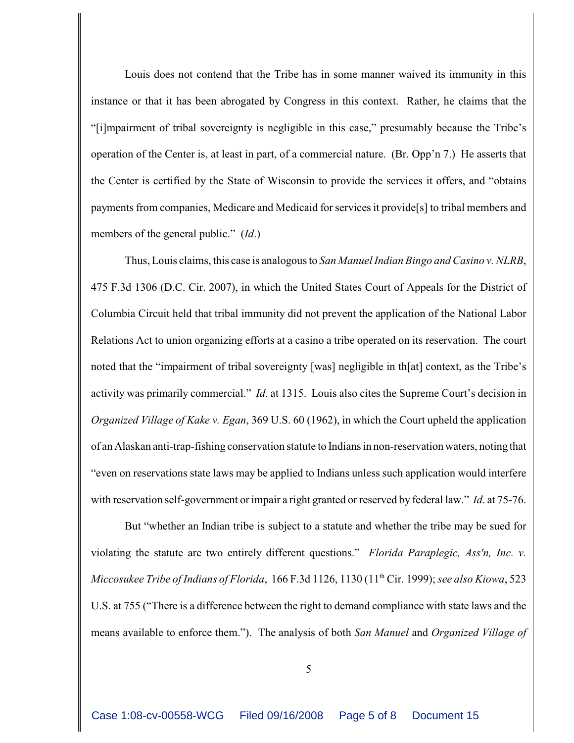Louis does not contend that the Tribe has in some manner waived its immunity in this instance or that it has been abrogated by Congress in this context. Rather, he claims that the "[i]mpairment of tribal sovereignty is negligible in this case," presumably because the Tribe's operation of the Center is, at least in part, of a commercial nature. (Br. Opp'n 7.) He asserts that the Center is certified by the State of Wisconsin to provide the services it offers, and "obtains payments from companies, Medicare and Medicaid for services it provide[s] to tribal members and members of the general public." (*Id*.)

Thus, Louis claims, this case is analogous to *San Manuel Indian Bingo and Casino v. NLRB*, 475 F.3d 1306 (D.C. Cir. 2007), in which the United States Court of Appeals for the District of Columbia Circuit held that tribal immunity did not prevent the application of the National Labor Relations Act to union organizing efforts at a casino a tribe operated on its reservation. The court noted that the "impairment of tribal sovereignty [was] negligible in th[at] context, as the Tribe's activity was primarily commercial." *Id*. at 1315. Louis also cites the Supreme Court's decision in *Organized Village of Kake v. Egan*, 369 U.S. 60 (1962), in which the Court upheld the application of an Alaskan anti-trap-fishing conservation statute to Indians in non-reservation waters, noting that "even on reservations state laws may be applied to Indians unless such application would interfere with reservation self-government or impair a right granted or reserved by federal law." *Id.* at 75-76.

But "whether an Indian tribe is subject to a statute and whether the tribe may be sued for violating the statute are two entirely different questions." *Florida Paraplegic, Ass'n, Inc. v. Miccosukee Tribe of Indians of Florida*, 166 F.3d 1126, 1130 (11<sup>th</sup> Cir. 1999); *see also Kiowa*, 523 U.S. at 755 ("There is a difference between the right to demand compliance with state laws and the means available to enforce them."). The analysis of both *San Manuel* and *Organized Village of*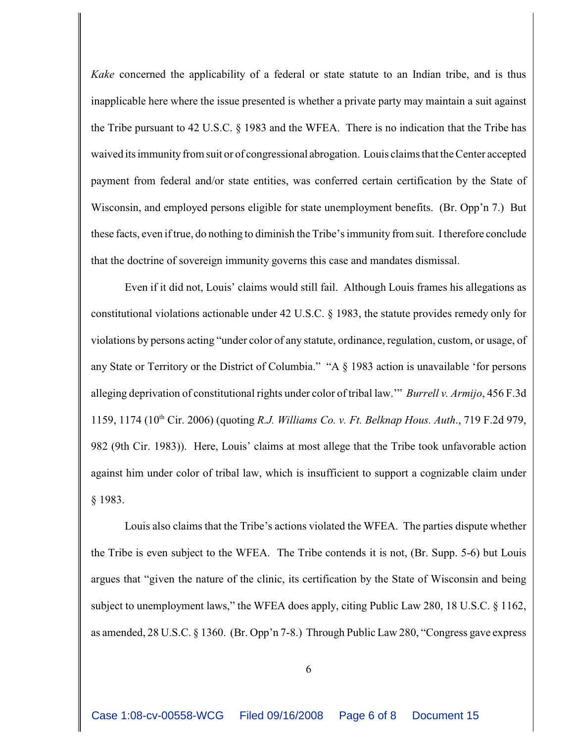*Kake* concerned the applicability of a federal or state statute to an Indian tribe, and is thus inapplicable here where the issue presented is whether a private party may maintain a suit against the Tribe pursuant to 42 U.S.C. § 1983 and the WFEA. There is no indication that the Tribe has waived its immunity from suit or of congressional abrogation. Louis claims that the Center accepted payment from federal and/or state entities, was conferred certain certification by the State of Wisconsin, and employed persons eligible for state unemployment benefits. (Br. Opp'n 7.) But these facts, even if true, do nothing to diminish the Tribe's immunity from suit. I therefore conclude that the doctrine of sovereign immunity governs this case and mandates dismissal.

Even if it did not, Louis' claims would still fail. Although Louis frames his allegations as constitutional violations actionable under 42 U.S.C. § 1983, the statute provides remedy only for violations by persons acting "under color of any statute, ordinance, regulation, custom, or usage, of any State or Territory or the District of Columbia." "A § 1983 action is unavailable 'for persons alleging deprivation of constitutional rights under color of tribal law.'" *Burrell v. Armijo*, 456 F.3d 1159, 1174 (10<sup>th</sup> Cir. 2006) (quoting *R.J. Williams Co. v. Ft. Belknap Hous. Auth.*, 719 F.2d 979, 982 (9th Cir. 1983)). Here, Louis' claims at most allege that the Tribe took unfavorable action against him under color of tribal law, which is insufficient to support a cognizable claim under § 1983.

Louis also claims that the Tribe's actions violated the WFEA. The parties dispute whether the Tribe is even subject to the WFEA. The Tribe contends it is not, (Br. Supp. 5-6) but Louis argues that "given the nature of the clinic, its certification by the State of Wisconsin and being subject to unemployment laws," the WFEA does apply, citing Public Law 280, 18 U.S.C. § 1162, as amended, 28 U.S.C. § 1360. (Br. Opp'n 7-8.) Through Public Law 280, "Congress gave express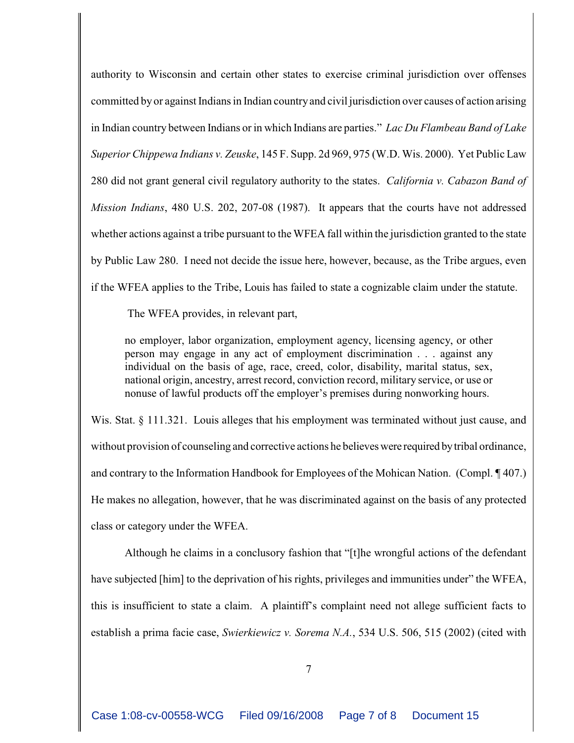authority to Wisconsin and certain other states to exercise criminal jurisdiction over offenses committed by or against Indians in Indian country and civil jurisdiction over causes of action arising in Indian country between Indians or in which Indians are parties." *Lac Du Flambeau Band of Lake Superior Chippewa Indians v. Zeuske*, 145 F. Supp. 2d 969, 975 (W.D. Wis. 2000). Yet Public Law 280 did not grant general civil regulatory authority to the states. *California v. Cabazon Band of Mission Indians*, 480 U.S. 202, 207-08 (1987). It appears that the courts have not addressed whether actions against a tribe pursuant to the WFEA fall within the jurisdiction granted to the state by Public Law 280. I need not decide the issue here, however, because, as the Tribe argues, even if the WFEA applies to the Tribe, Louis has failed to state a cognizable claim under the statute.

The WFEA provides, in relevant part,

no employer, labor organization, employment agency, licensing agency, or other person may engage in any act of employment discrimination . . . against any individual on the basis of age, race, creed, color, disability, marital status, sex, national origin, ancestry, arrest record, conviction record, military service, or use or nonuse of lawful products off the employer's premises during nonworking hours.

Wis. Stat. § 111.321. Louis alleges that his employment was terminated without just cause, and without provision of counseling and corrective actions he believes were required by tribal ordinance, and contrary to the Information Handbook for Employees of the Mohican Nation. (Compl. ¶ 407.) He makes no allegation, however, that he was discriminated against on the basis of any protected class or category under the WFEA.

Although he claims in a conclusory fashion that "[t]he wrongful actions of the defendant have subjected [him] to the deprivation of his rights, privileges and immunities under" the WFEA, this is insufficient to state a claim. A plaintiff's complaint need not allege sufficient facts to establish a prima facie case, *Swierkiewicz v. Sorema N.A.*, 534 U.S. 506, 515 (2002) (cited with